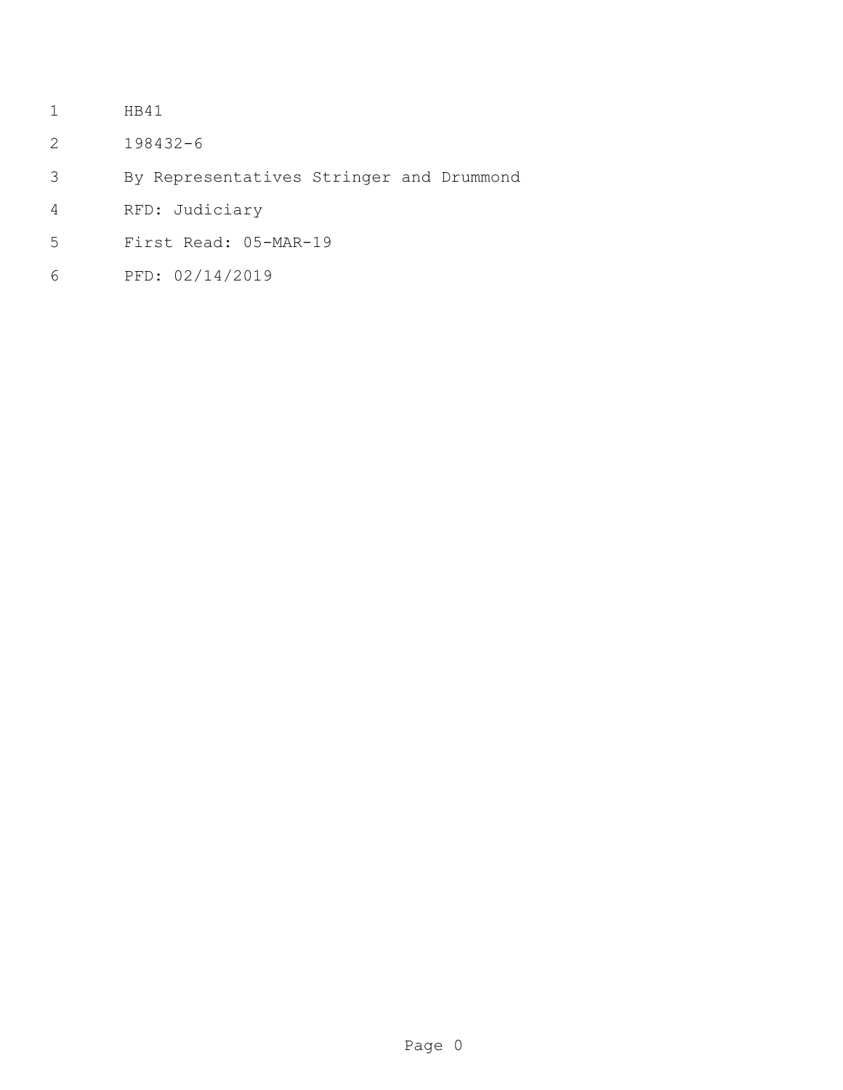- HB41
- 198432-6
- By Representatives Stringer and Drummond
- RFD: Judiciary
- First Read: 05-MAR-19
- PFD: 02/14/2019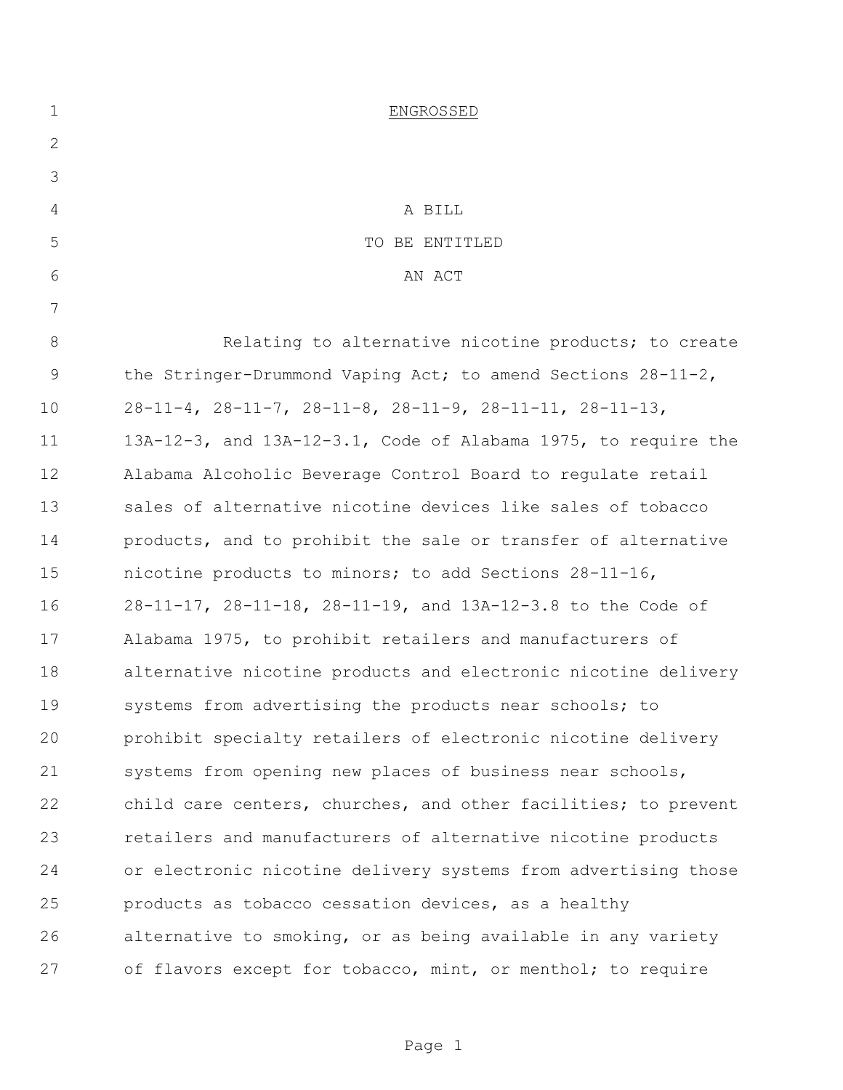| $\mathbf 1$  | ENGROSSED                                                                 |
|--------------|---------------------------------------------------------------------------|
| $\mathbf{2}$ |                                                                           |
| 3            |                                                                           |
| 4            | A BILL                                                                    |
| 5            | TO BE ENTITLED                                                            |
| 6            | AN ACT                                                                    |
| 7            |                                                                           |
| $8\,$        | Relating to alternative nicotine products; to create                      |
| $\mathsf 9$  | the Stringer-Drummond Vaping Act; to amend Sections $28-11-2$ ,           |
| 10           | $28-11-4$ , $28-11-7$ , $28-11-8$ , $28-11-9$ , $28-11-11$ , $28-11-13$ , |
| 11           | 13A-12-3, and 13A-12-3.1, Code of Alabama 1975, to require the            |
| 12           | Alabama Alcoholic Beverage Control Board to regulate retail               |
| 13           | sales of alternative nicotine devices like sales of tobacco               |
| 14           | products, and to prohibit the sale or transfer of alternative             |
| 15           | nicotine products to minors; to add Sections 28-11-16,                    |
| 16           | 28-11-17, 28-11-18, 28-11-19, and 13A-12-3.8 to the Code of               |
| 17           | Alabama 1975, to prohibit retailers and manufacturers of                  |
| 18           | alternative nicotine products and electronic nicotine delivery            |
| 19           | systems from advertising the products near schools; to                    |
| 20           | prohibit specialty retailers of electronic nicotine delivery              |
| 21           | systems from opening new places of business near schools,                 |
| 22           | child care centers, churches, and other facilities; to prevent            |
| 23           | retailers and manufacturers of alternative nicotine products              |
| 24           | or electronic nicotine delivery systems from advertising those            |
| 25           | products as tobacco cessation devices, as a healthy                       |
| 26           | alternative to smoking, or as being available in any variety              |
| 27           | of flavors except for tobacco, mint, or menthol; to require               |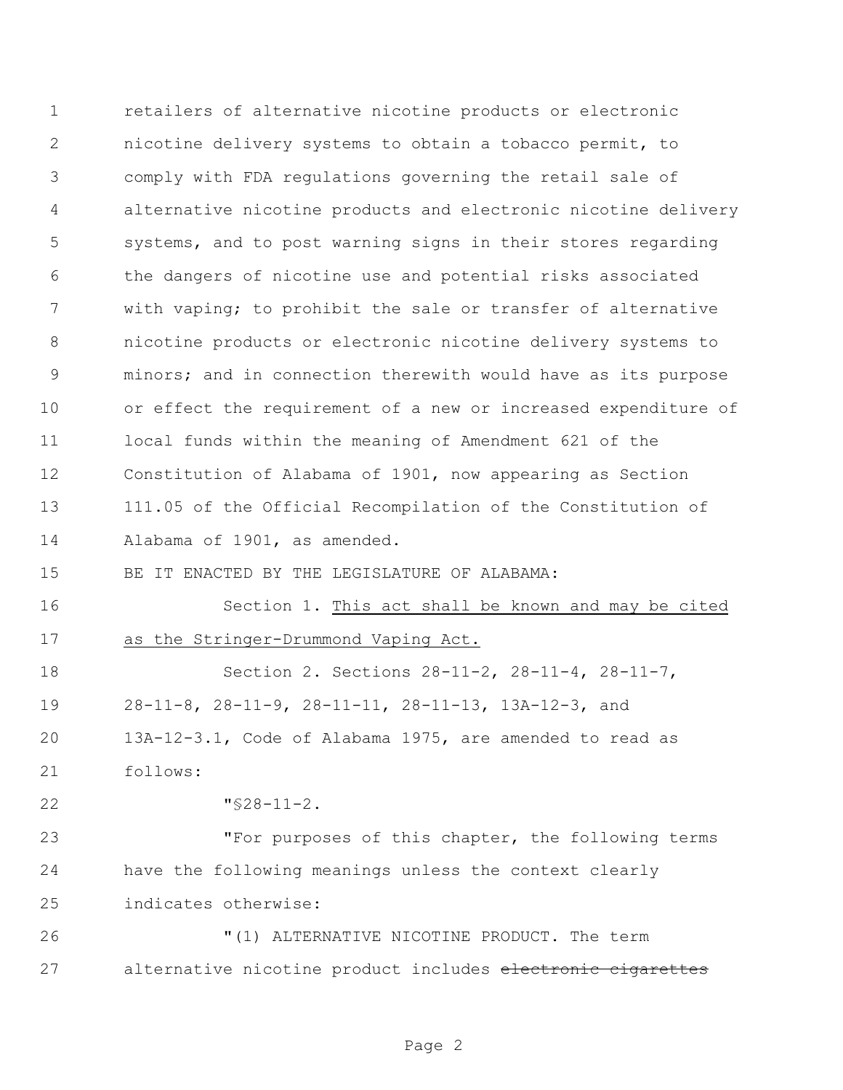retailers of alternative nicotine products or electronic nicotine delivery systems to obtain a tobacco permit, to comply with FDA regulations governing the retail sale of alternative nicotine products and electronic nicotine delivery systems, and to post warning signs in their stores regarding the dangers of nicotine use and potential risks associated with vaping; to prohibit the sale or transfer of alternative nicotine products or electronic nicotine delivery systems to minors; and in connection therewith would have as its purpose or effect the requirement of a new or increased expenditure of local funds within the meaning of Amendment 621 of the Constitution of Alabama of 1901, now appearing as Section 111.05 of the Official Recompilation of the Constitution of Alabama of 1901, as amended. BE IT ENACTED BY THE LEGISLATURE OF ALABAMA: Section 1. This act shall be known and may be cited as the Stringer-Drummond Vaping Act. Section 2. Sections 28-11-2, 28-11-4, 28-11-7, 28-11-8, 28-11-9, 28-11-11, 28-11-13, 13A-12-3, and 13A-12-3.1, Code of Alabama 1975, are amended to read as follows: "§28-11-2. "For purposes of this chapter, the following terms have the following meanings unless the context clearly indicates otherwise: "(1) ALTERNATIVE NICOTINE PRODUCT. The term 27 alternative nicotine product includes electronic cigarettes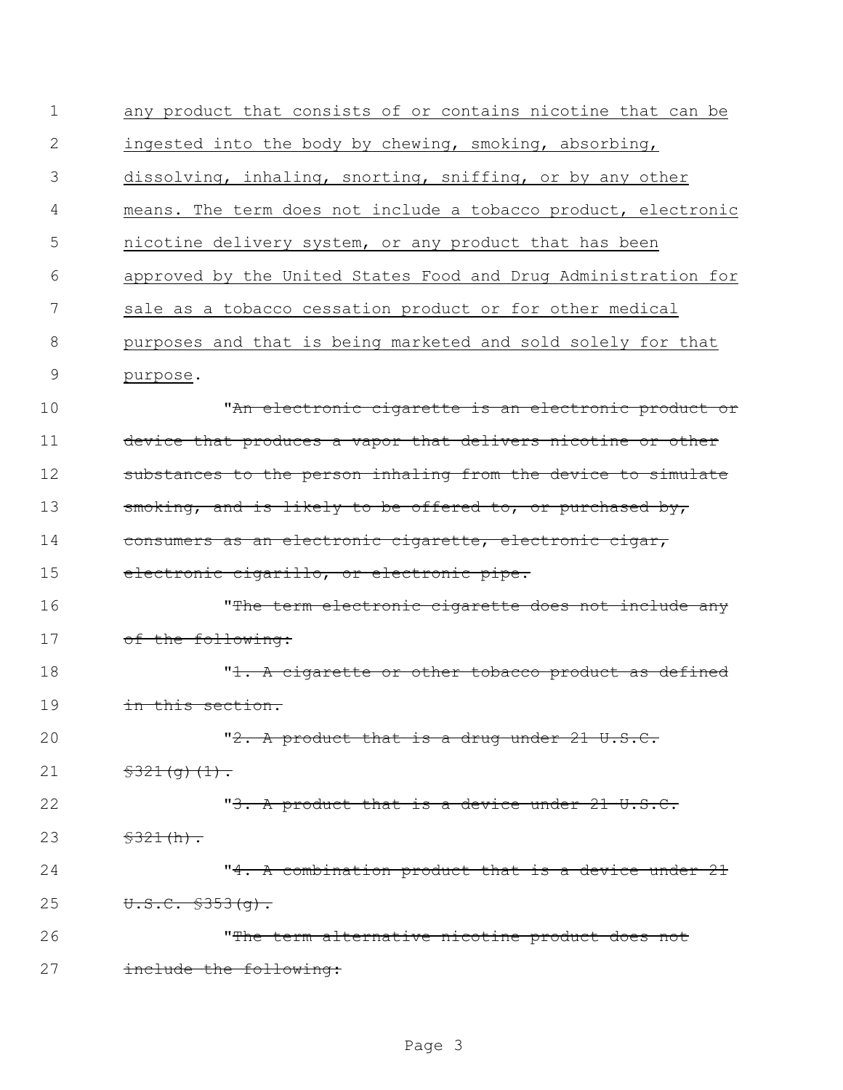| $\mathbf 1$   | any product that consists of or contains nicotine that can be  |
|---------------|----------------------------------------------------------------|
| 2             | ingested into the body by chewing, smoking, absorbing,         |
| 3             | dissolving, inhaling, snorting, sniffing, or by any other      |
| 4             | means. The term does not include a tobacco product, electronic |
| 5             | nicotine delivery system, or any product that has been         |
| 6             | approved by the United States Food and Drug Administration for |
| 7             | sale as a tobacco cessation product or for other medical       |
| 8             | purposes and that is being marketed and sold solely for that   |
| $\mathcal{G}$ | purpose.                                                       |
| 10            | <u>"An electronic cigarette is an electronic product or</u>    |
| 11            | device that produces a vapor that delivers nicotine or other   |
| 12            | substances to the person inhaling from the device to simulate  |
| 13            | smoking, and is likely to be offered to, or purchased by,      |
| 14            | consumers as an electronic cigarette, electronic cigar,        |
| 15            | electronic cigarillo, or electronic pipe.                      |
| 16            | "The term electronic cigarette does not include any            |
| 17            | of the following:                                              |
| 18            | "1. A cigarette or other tobacco product as defined            |
| 19            | in this section.                                               |
| 20            | "2. A product that is a drug under 21 U.S.C.                   |
| 21            | $$321(q)(1)$ .                                                 |
| 22            | "3. A product that is a device under 21 U.S.C.                 |
| 23            | \$321(h).                                                      |
| 24            | "4. A combination product that is a device under 21            |
| 25            | $U.S.C. $353(q)$ .                                             |
| 26            | "The term alternative nicotine product does not                |
| 27            | include the following:                                         |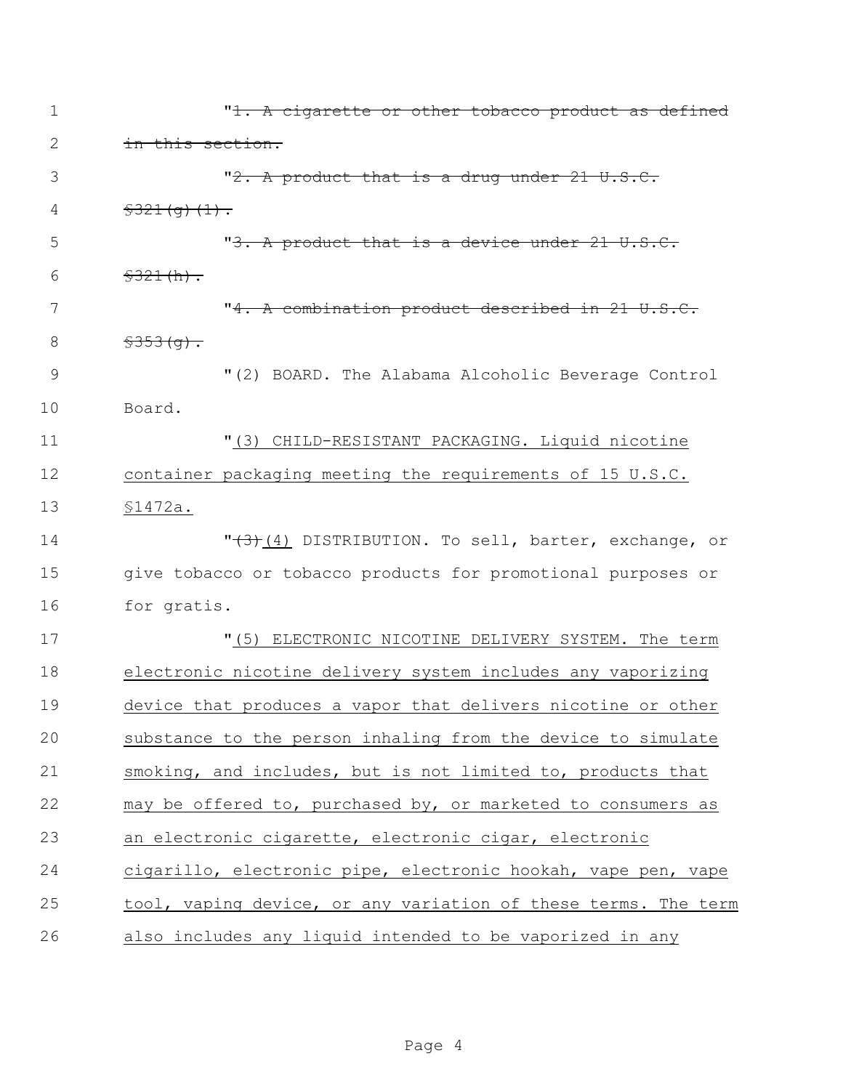| $\mathbf 1$   | "1. A cigarette or other tobacco product as defined            |
|---------------|----------------------------------------------------------------|
| 2             | in this section.                                               |
| 3             | "2. A product that is a drug under 21 U.S.C.                   |
| 4             | $\frac{2321(q)(1)}{1}$                                         |
| 5             | "3. A product that is a device under 21 U.S.C.                 |
| 6             | \$321(h).                                                      |
| 7             | "4. A combination product described in 21 U.S.C.               |
| 8             | $$353(9)$ .                                                    |
| $\mathcal{G}$ | "(2) BOARD. The Alabama Alcoholic Beverage Control             |
| 10            | Board.                                                         |
| 11            | "(3) CHILD-RESISTANT PACKAGING. Liquid nicotine                |
| 12            | container packaging meeting the requirements of 15 U.S.C.      |
| 13            | \$1472a.                                                       |
| 14            | "(3)(4) DISTRIBUTION. To sell, barter, exchange, or            |
| 15            | give tobacco or tobacco products for promotional purposes or   |
| 16            | for gratis.                                                    |
| 17            | "(5) ELECTRONIC NICOTINE DELIVERY SYSTEM. The term             |
| 18            | electronic nicotine delivery system includes any vaporizing    |
| 19            | device that produces a vapor that delivers nicotine or other   |
| 20            | substance to the person inhaling from the device to simulate   |
| 21            | smoking, and includes, but is not limited to, products that    |
| 22            | may be offered to, purchased by, or marketed to consumers as   |
| 23            | an electronic cigarette, electronic cigar, electronic          |
| 24            | cigarillo, electronic pipe, electronic hookah, vape pen, vape  |
| 25            | tool, vaping device, or any variation of these terms. The term |
| 26            | also includes any liquid intended to be vaporized in any       |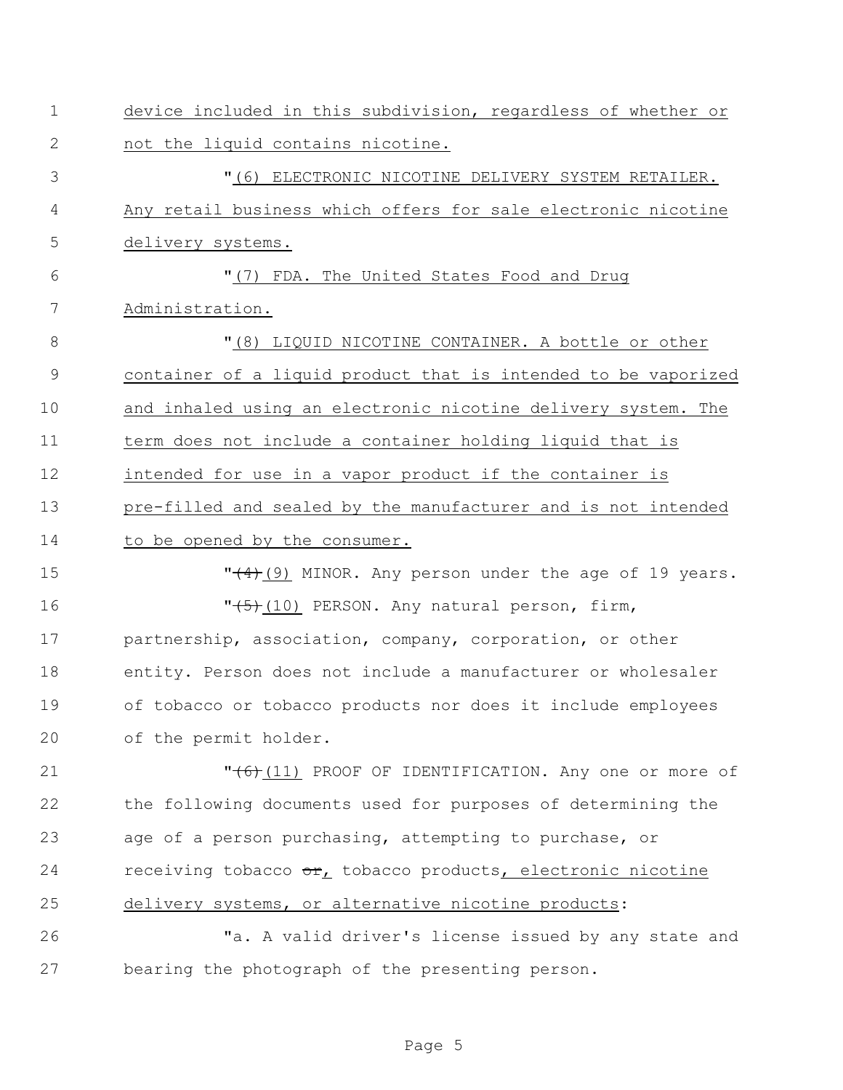| $\mathbf 1$  | device included in this subdivision, regardless of whether or  |
|--------------|----------------------------------------------------------------|
| $\mathbf{2}$ | not the liquid contains nicotine.                              |
| 3            | "(6) ELECTRONIC NICOTINE DELIVERY SYSTEM RETAILER.             |
| 4            | Any retail business which offers for sale electronic nicotine  |
| 5            | delivery systems.                                              |
| 6            | "(7) FDA. The United States Food and Drug                      |
| 7            | Administration.                                                |
| 8            | "(8) LIQUID NICOTINE CONTAINER. A bottle or other              |
| 9            | container of a liquid product that is intended to be vaporized |
| 10           | and inhaled using an electronic nicotine delivery system. The  |
| 11           | term does not include a container holding liquid that is       |
| 12           | intended for use in a vapor product if the container is        |
| 13           | pre-filled and sealed by the manufacturer and is not intended  |
| 14           | to be opened by the consumer.                                  |
| 15           | $"$ (9) MINOR. Any person under the age of 19 years.           |
| 16           | "(5) (10) PERSON. Any natural person, firm,                    |
| 17           | partnership, association, company, corporation, or other       |
| 18           | entity. Person does not include a manufacturer or wholesaler   |
| 19           | of tobacco or tobacco products nor does it include employees   |
| 20           | of the permit holder.                                          |
| 21           | "(6)(11) PROOF OF IDENTIFICATION. Any one or more of           |
| 22           | the following documents used for purposes of determining the   |
| 23           | age of a person purchasing, attempting to purchase, or         |
| 24           | receiving tobacco or, tobacco products, electronic nicotine    |
| 25           | delivery systems, or alternative nicotine products:            |
| 26           | "a. A valid driver's license issued by any state and           |
| 27           | bearing the photograph of the presenting person.               |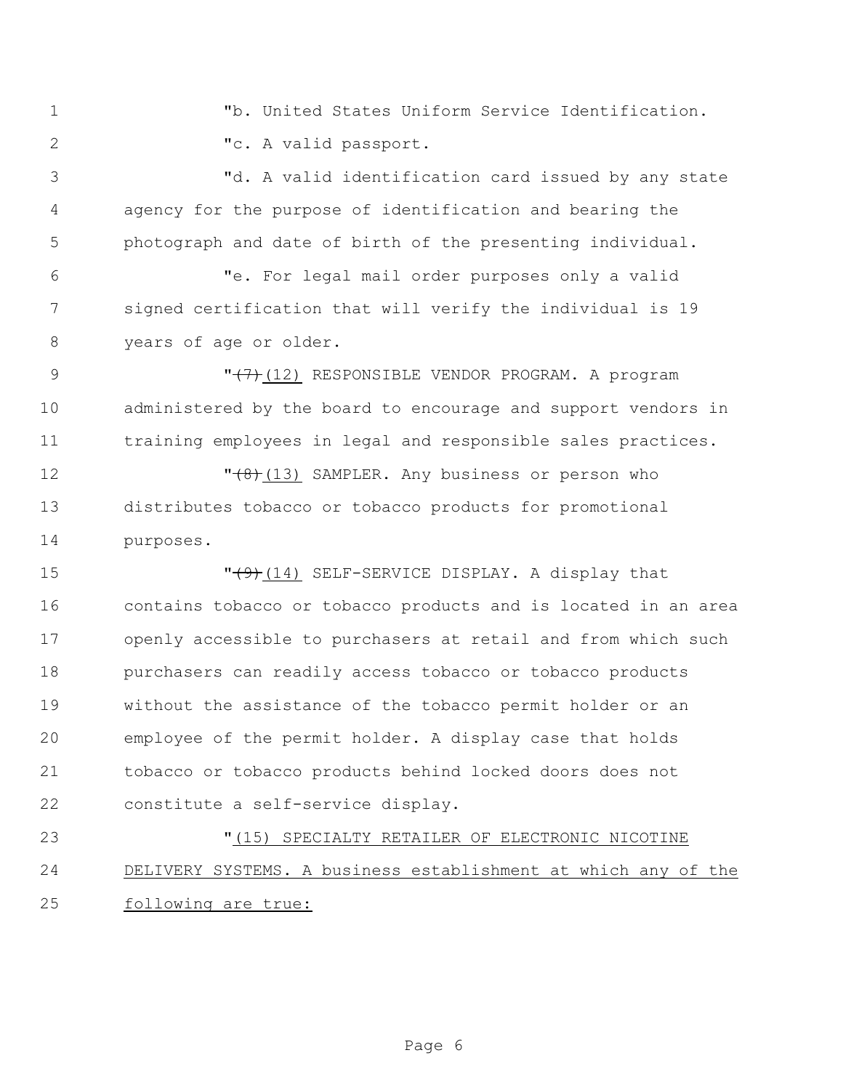"b. United States Uniform Service Identification. "c. A valid passport.

 "d. A valid identification card issued by any state agency for the purpose of identification and bearing the photograph and date of birth of the presenting individual.

 "e. For legal mail order purposes only a valid signed certification that will verify the individual is 19 years of age or older.

9  $\sqrt{(7)}$ (12) RESPONSIBLE VENDOR PROGRAM. A program administered by the board to encourage and support vendors in training employees in legal and responsible sales practices.

12  $\sqrt{(8)(13)}$  SAMPLER. Any business or person who distributes tobacco or tobacco products for promotional purposes.

**T** (9)(14) SELF-SERVICE DISPLAY. A display that contains tobacco or tobacco products and is located in an area openly accessible to purchasers at retail and from which such purchasers can readily access tobacco or tobacco products without the assistance of the tobacco permit holder or an employee of the permit holder. A display case that holds tobacco or tobacco products behind locked doors does not constitute a self-service display.

 "(15) SPECIALTY RETAILER OF ELECTRONIC NICOTINE DELIVERY SYSTEMS. A business establishment at which any of the following are true: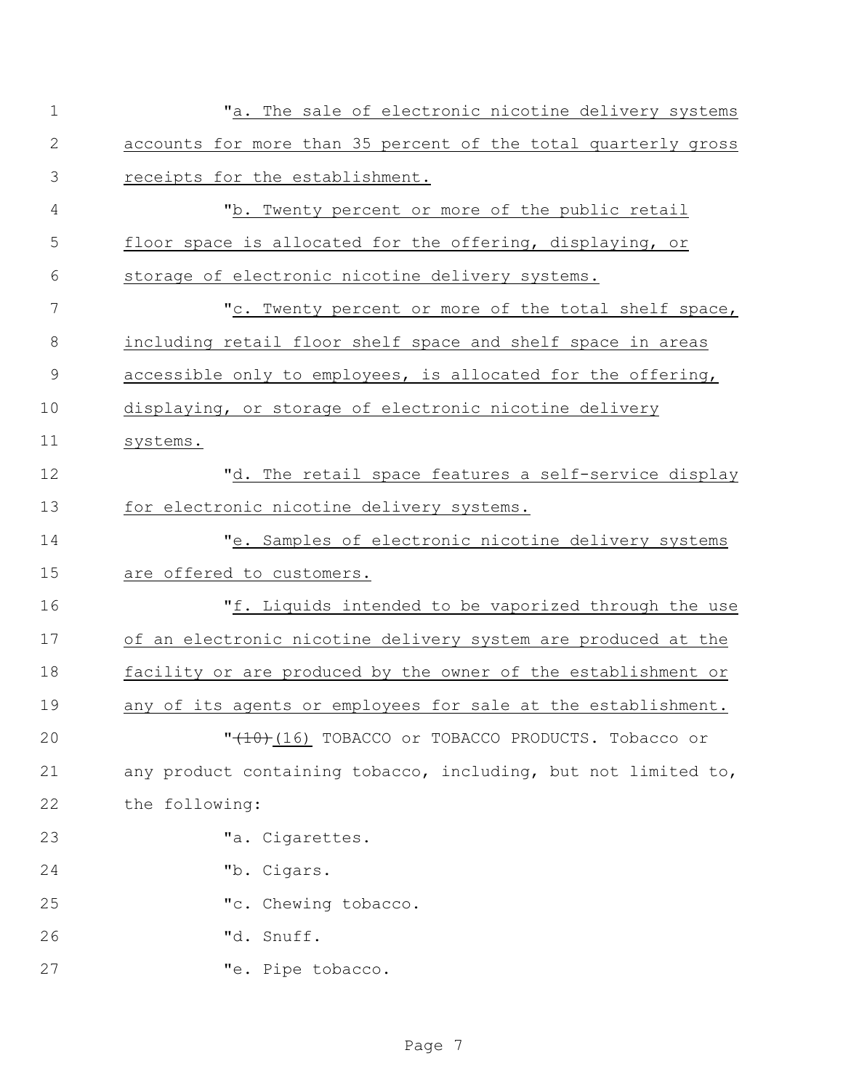| 1  | "a. The sale of electronic nicotine delivery systems           |
|----|----------------------------------------------------------------|
| 2  | accounts for more than 35 percent of the total quarterly gross |
| 3  | receipts for the establishment.                                |
| 4  | "b. Twenty percent or more of the public retail                |
| 5  | floor space is allocated for the offering, displaying, or      |
| 6  | storage of electronic nicotine delivery systems.               |
| 7  | "c. Twenty percent or more of the total shelf space,           |
| 8  | including retail floor shelf space and shelf space in areas    |
| 9  | accessible only to employees, is allocated for the offering,   |
| 10 | displaying, or storage of electronic nicotine delivery         |
| 11 | systems.                                                       |
| 12 | "d. The retail space features a self-service display           |
| 13 | for electronic nicotine delivery systems.                      |
| 14 | "e. Samples of electronic nicotine delivery systems            |
| 15 | are offered to customers.                                      |
| 16 | "f. Liquids intended to be vaporized through the use           |
| 17 | of an electronic nicotine delivery system are produced at the  |
| 18 | facility or are produced by the owner of the establishment or  |
| 19 | any of its agents or employees for sale at the establishment.  |
| 20 | "(10) (16) TOBACCO or TOBACCO PRODUCTS. Tobacco or             |
| 21 | any product containing tobacco, including, but not limited to, |
| 22 | the following:                                                 |
| 23 | "a. Cigarettes.                                                |
| 24 | "b. Cigars.                                                    |
| 25 | "c. Chewing tobacco.                                           |
| 26 | "d. Snuff.                                                     |
| 27 | "e. Pipe tobacco.                                              |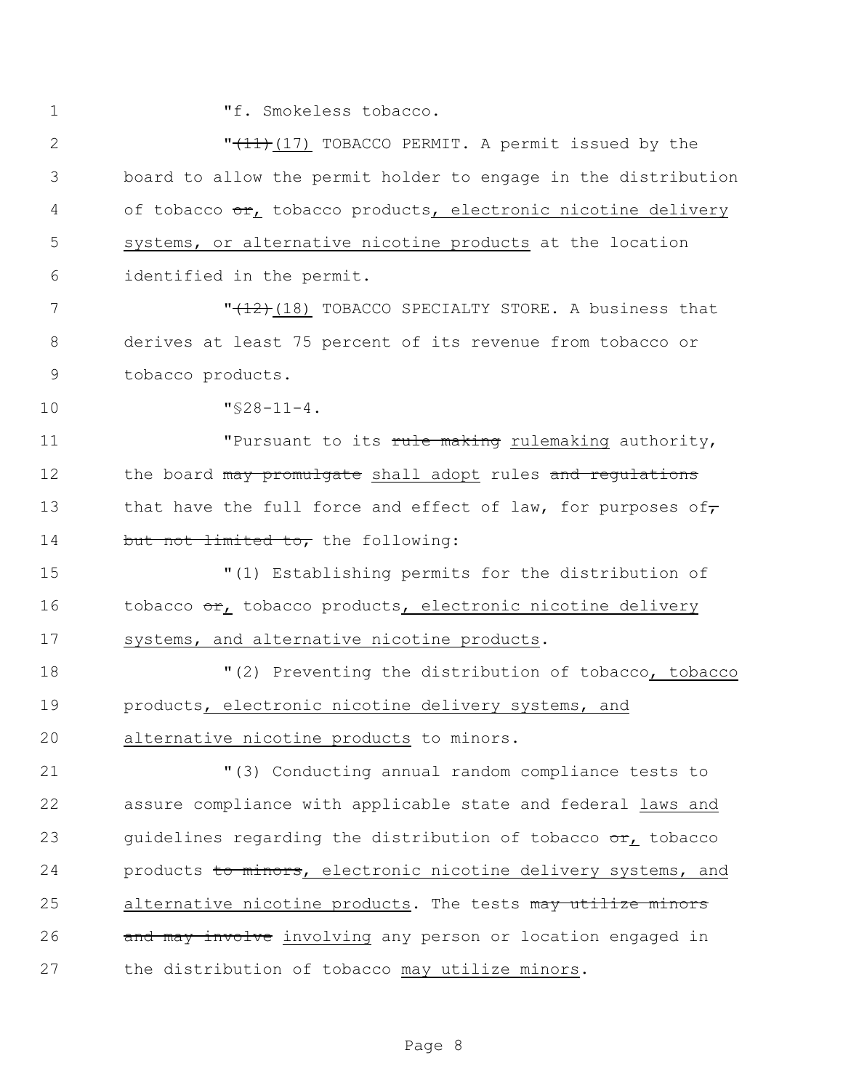1 Tf. Smokeless tobacco.

2  $\sqrt{11}$  (17) TOBACCO PERMIT. A permit issued by the 3 board to allow the permit holder to engage in the distribution 4 of tobacco or, tobacco products, electronic nicotine delivery 5 systems, or alternative nicotine products at the location 6 identified in the permit. 7 The state of the MCD of the MCDS of the MCDS of the MCDS of the MCDS of the MCDS of the MCDS of the MCDS of the MCDS of the MCDS of the MCDS of the MCDS of the MCDS of the MCDS of the MCDS of the MCDS of the MCDS of the 8 derives at least 75 percent of its revenue from tobacco or 9 tobacco products. 10 "§28-11-4. 11 Thursuant to its rule making rulemaking authority, 12 the board may promulgate shall adopt rules and regulations 13 that have the full force and effect of law, for purposes of, 14 but not limited to, the following: 15 "(1) Establishing permits for the distribution of 16 tobacco or, tobacco products, electronic nicotine delivery 17 systems, and alternative nicotine products. 18  $(2)$  Preventing the distribution of tobacco, tobacco

19 products, electronic nicotine delivery systems, and 20 alternative nicotine products to minors.

21 "(3) Conducting annual random compliance tests to 22 assure compliance with applicable state and federal laws and 23 guidelines regarding the distribution of tobacco  $\sigma r_L$  tobacco 24 products to minors, electronic nicotine delivery systems, and 25 alternative nicotine products. The tests may utilize minors 26 and may involve involving any person or location engaged in 27 the distribution of tobacco may utilize minors.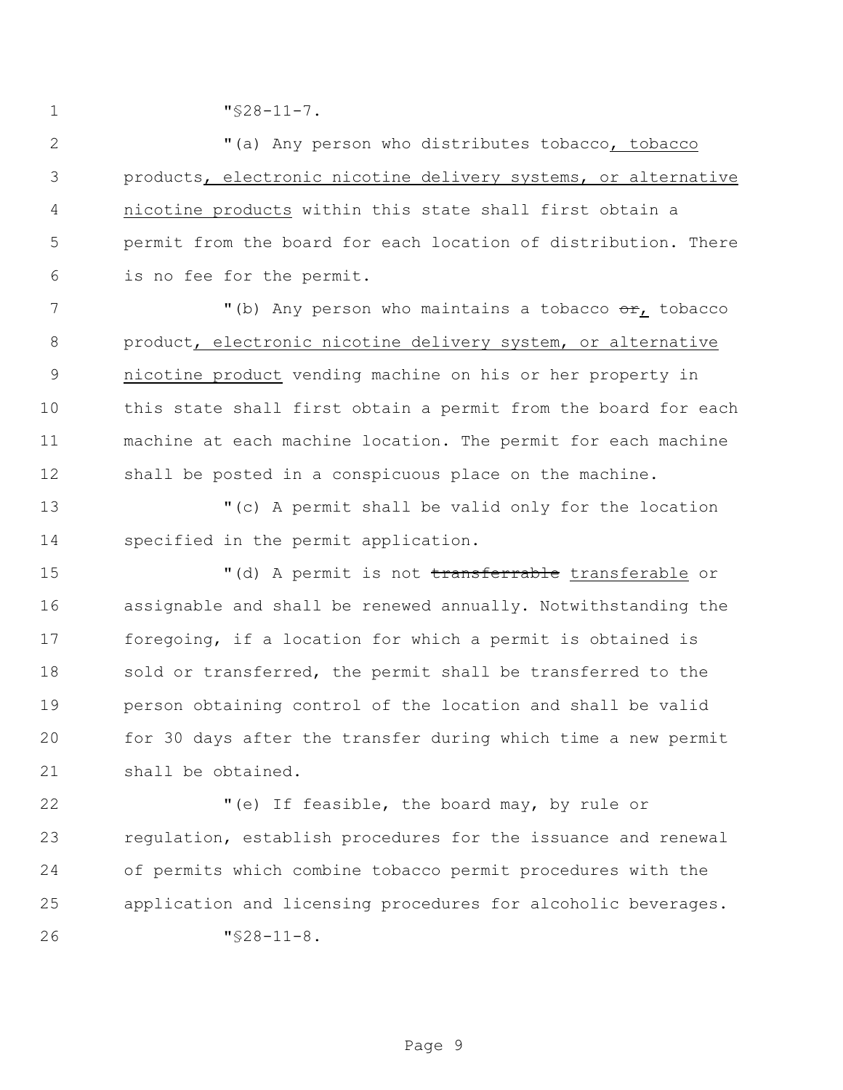"§28-11-7.

 "(a) Any person who distributes tobacco, tobacco products, electronic nicotine delivery systems, or alternative nicotine products within this state shall first obtain a permit from the board for each location of distribution. There is no fee for the permit.

7 The Multimum of the Music who maintains a tobacco or, tobacco with  $\frac{1}{2}$  product, electronic nicotine delivery system, or alternative nicotine product vending machine on his or her property in this state shall first obtain a permit from the board for each machine at each machine location. The permit for each machine shall be posted in a conspicuous place on the machine.

 "(c) A permit shall be valid only for the location specified in the permit application.

15 (d) A permit is not transferrable transferable or assignable and shall be renewed annually. Notwithstanding the foregoing, if a location for which a permit is obtained is 18 sold or transferred, the permit shall be transferred to the person obtaining control of the location and shall be valid for 30 days after the transfer during which time a new permit shall be obtained.

 "(e) If feasible, the board may, by rule or regulation, establish procedures for the issuance and renewal of permits which combine tobacco permit procedures with the application and licensing procedures for alcoholic beverages. "§28-11-8.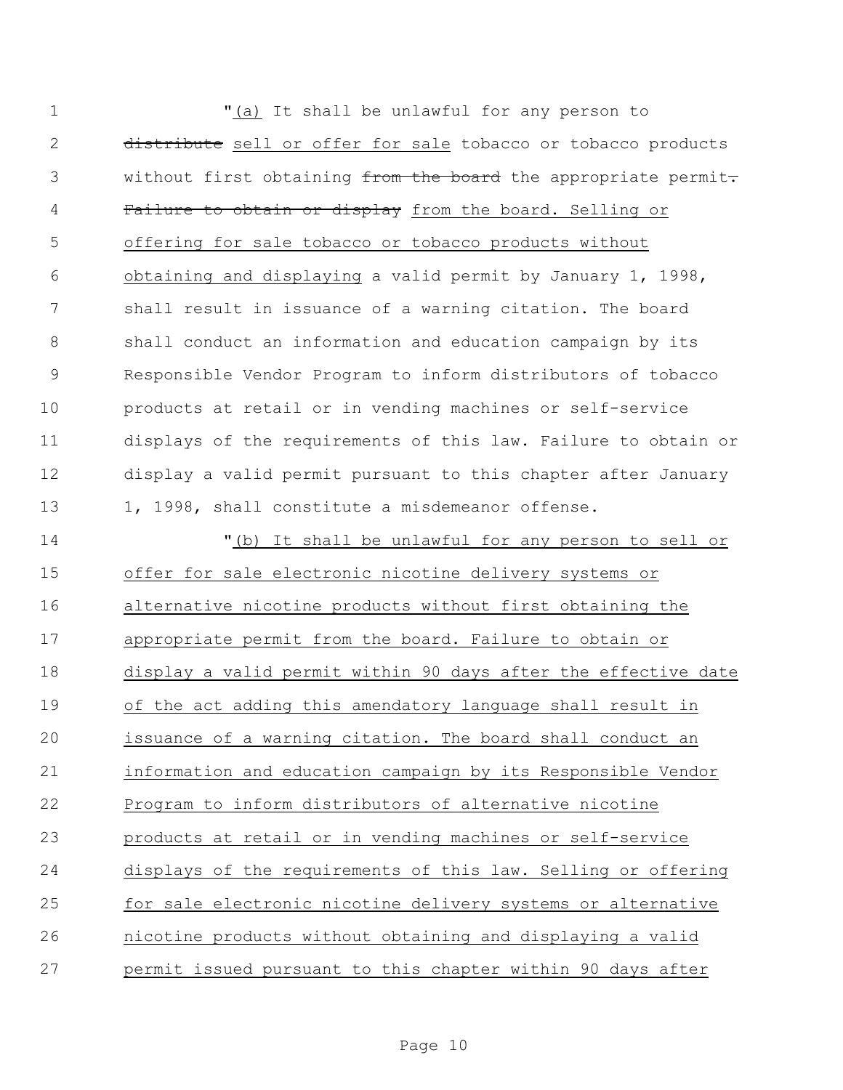| $\mathbf 1$   | "(a) It shall be unlawful for any person to                    |
|---------------|----------------------------------------------------------------|
| $\mathbf{2}$  | distribute sell or offer for sale tobacco or tobacco products  |
| 3             | without first obtaining from the board the appropriate permit- |
| 4             | Failure to obtain or display from the board. Selling or        |
| 5             | offering for sale tobacco or tobacco products without          |
| 6             | obtaining and displaying a valid permit by January 1, 1998,    |
| 7             | shall result in issuance of a warning citation. The board      |
| $8\,$         | shall conduct an information and education campaign by its     |
| $\mathcal{G}$ | Responsible Vendor Program to inform distributors of tobacco   |
| 10            | products at retail or in vending machines or self-service      |
| 11            | displays of the requirements of this law. Failure to obtain or |
| 12            | display a valid permit pursuant to this chapter after January  |
| 13            | 1, 1998, shall constitute a misdemeanor offense.               |
| 14            | "(b) It shall be unlawful for any person to sell or            |
| 15            | offer for sale electronic nicotine delivery systems or         |
| 16            | alternative nicotine products without first obtaining the      |
| 17            | appropriate permit from the board. Failure to obtain or        |
| 18            | display a valid permit within 90 days after the effective date |
| 19            | of the act adding this amendatory language shall result in     |
| 20            | issuance of a warning citation. The board shall conduct an     |
| 21            | information and education campaign by its Responsible Vendor   |
| 22            | Program to inform distributors of alternative nicotine         |
| 23            | products at retail or in vending machines or self-service      |
| 24            | displays of the requirements of this law. Selling or offering  |
| 25            | for sale electronic nicotine delivery systems or alternative   |
| 26            | nicotine products without obtaining and displaying a valid     |
| 27            | permit issued pursuant to this chapter within 90 days after    |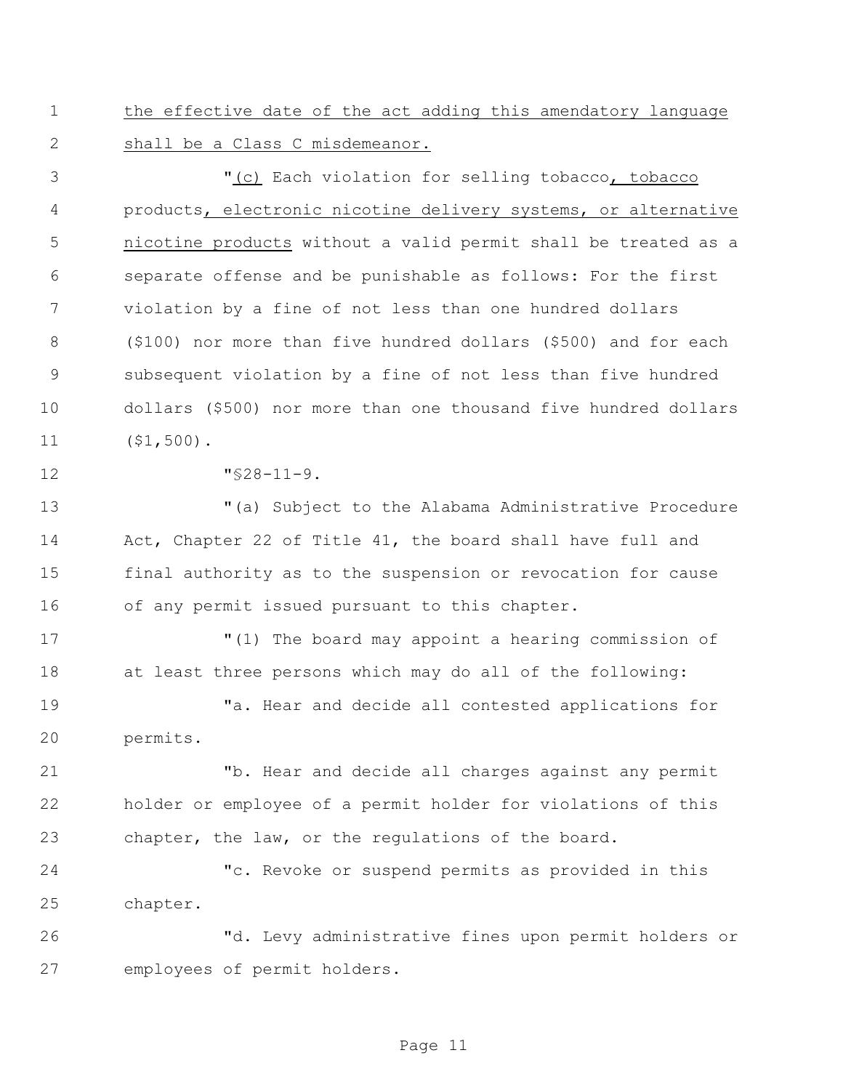the effective date of the act adding this amendatory language shall be a Class C misdemeanor.

 "(c) Each violation for selling tobacco, tobacco products, electronic nicotine delivery systems, or alternative nicotine products without a valid permit shall be treated as a separate offense and be punishable as follows: For the first violation by a fine of not less than one hundred dollars (\$100) nor more than five hundred dollars (\$500) and for each subsequent violation by a fine of not less than five hundred dollars (\$500) nor more than one thousand five hundred dollars (\$1,500).

"§28-11-9.

 "(a) Subject to the Alabama Administrative Procedure Act, Chapter 22 of Title 41, the board shall have full and final authority as to the suspension or revocation for cause of any permit issued pursuant to this chapter.

 "(1) The board may appoint a hearing commission of at least three persons which may do all of the following:

 "a. Hear and decide all contested applications for permits.

 "b. Hear and decide all charges against any permit holder or employee of a permit holder for violations of this chapter, the law, or the regulations of the board.

 "c. Revoke or suspend permits as provided in this chapter.

 "d. Levy administrative fines upon permit holders or employees of permit holders.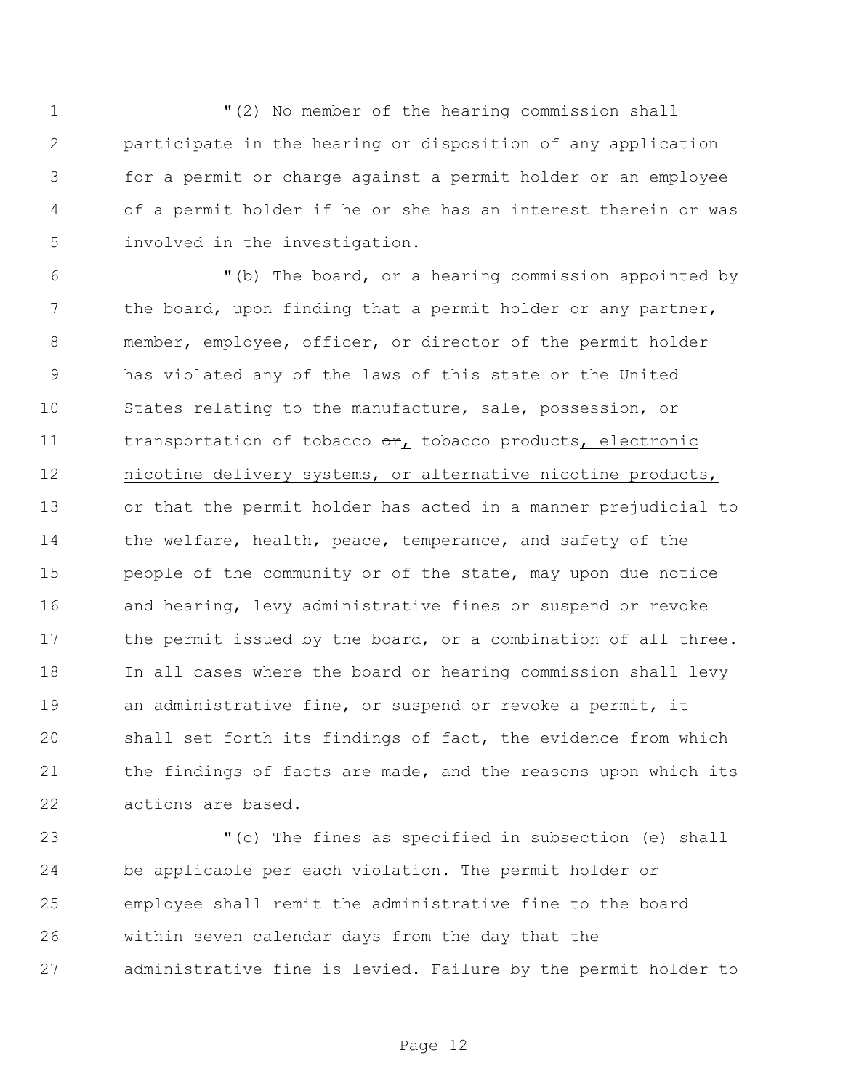"(2) No member of the hearing commission shall participate in the hearing or disposition of any application for a permit or charge against a permit holder or an employee of a permit holder if he or she has an interest therein or was involved in the investigation.

 "(b) The board, or a hearing commission appointed by 7 the board, upon finding that a permit holder or any partner, member, employee, officer, or director of the permit holder has violated any of the laws of this state or the United States relating to the manufacture, sale, possession, or 11 transportation of tobacco or, tobacco products, electronic nicotine delivery systems, or alternative nicotine products, or that the permit holder has acted in a manner prejudicial to 14 the welfare, health, peace, temperance, and safety of the 15 people of the community or of the state, may upon due notice 16 and hearing, levy administrative fines or suspend or revoke 17 the permit issued by the board, or a combination of all three. In all cases where the board or hearing commission shall levy an administrative fine, or suspend or revoke a permit, it shall set forth its findings of fact, the evidence from which 21 the findings of facts are made, and the reasons upon which its actions are based.

 "(c) The fines as specified in subsection (e) shall be applicable per each violation. The permit holder or employee shall remit the administrative fine to the board within seven calendar days from the day that the administrative fine is levied. Failure by the permit holder to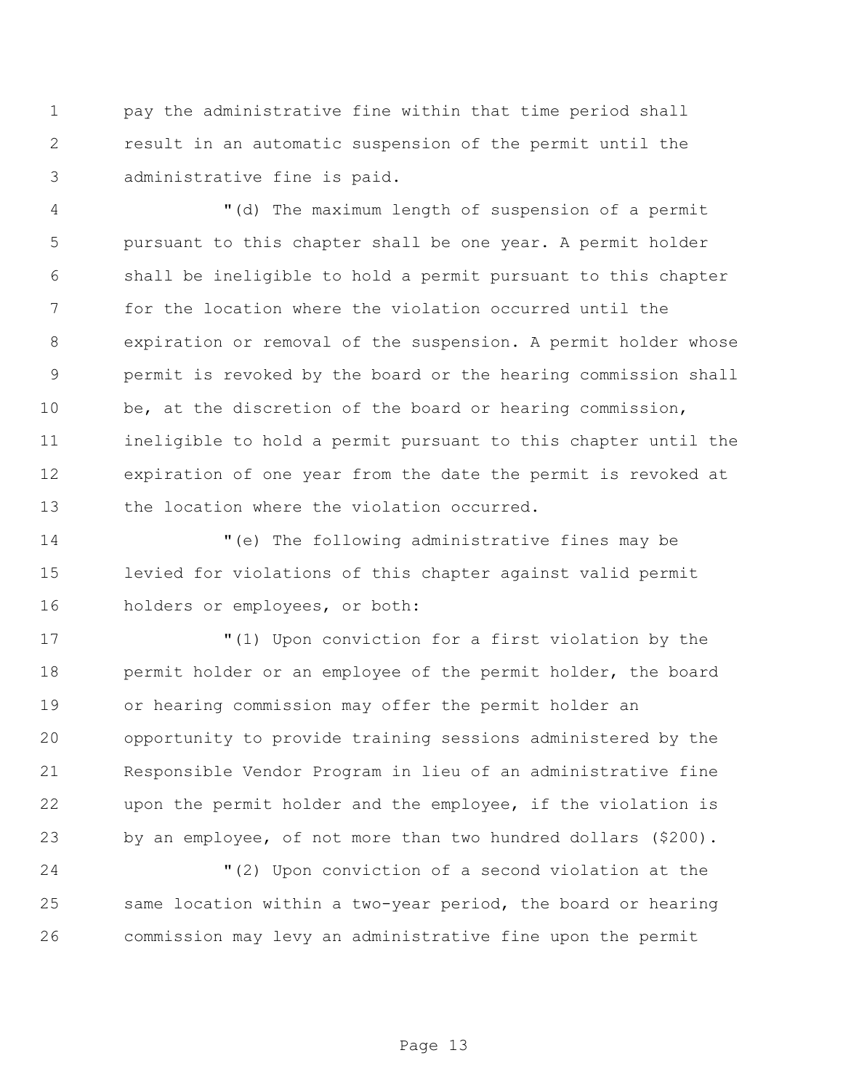pay the administrative fine within that time period shall result in an automatic suspension of the permit until the administrative fine is paid.

 "(d) The maximum length of suspension of a permit pursuant to this chapter shall be one year. A permit holder shall be ineligible to hold a permit pursuant to this chapter for the location where the violation occurred until the expiration or removal of the suspension. A permit holder whose permit is revoked by the board or the hearing commission shall be, at the discretion of the board or hearing commission, ineligible to hold a permit pursuant to this chapter until the expiration of one year from the date the permit is revoked at 13 the location where the violation occurred.

 "(e) The following administrative fines may be levied for violations of this chapter against valid permit holders or employees, or both:

 "(1) Upon conviction for a first violation by the 18 permit holder or an employee of the permit holder, the board or hearing commission may offer the permit holder an opportunity to provide training sessions administered by the Responsible Vendor Program in lieu of an administrative fine upon the permit holder and the employee, if the violation is by an employee, of not more than two hundred dollars (\$200).

 "(2) Upon conviction of a second violation at the same location within a two-year period, the board or hearing commission may levy an administrative fine upon the permit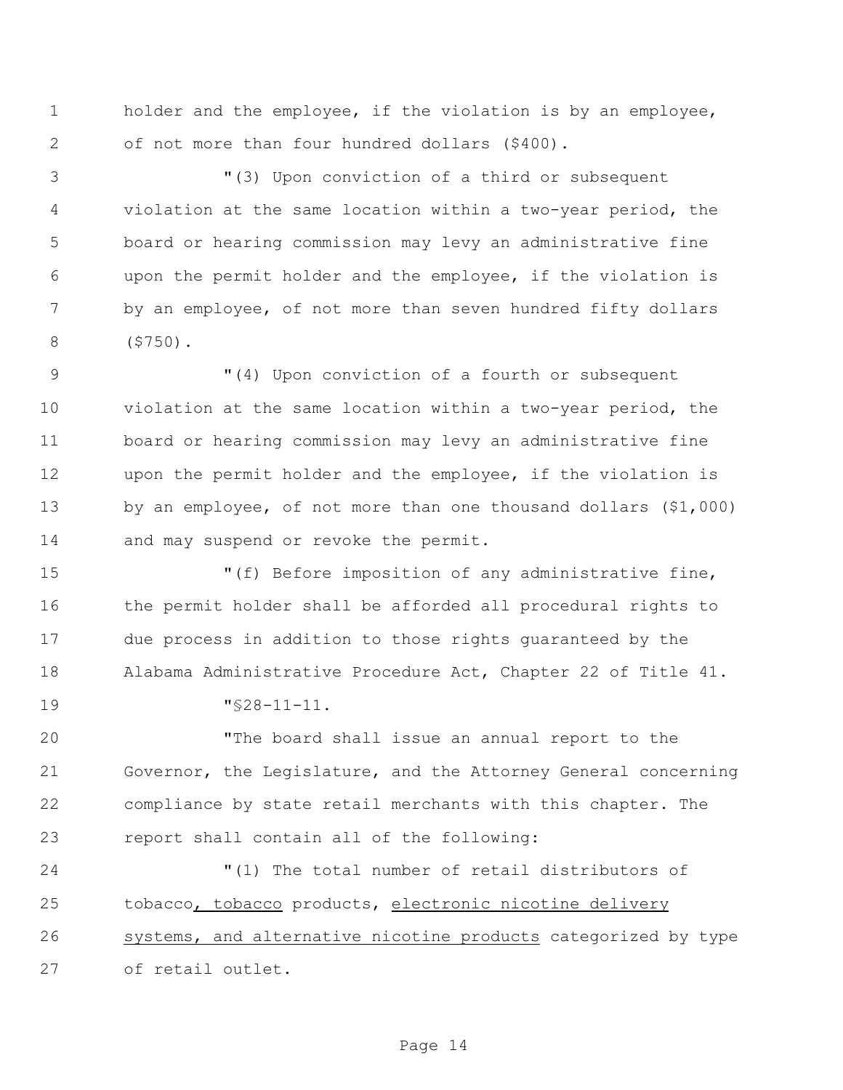holder and the employee, if the violation is by an employee, of not more than four hundred dollars (\$400).

 "(3) Upon conviction of a third or subsequent violation at the same location within a two-year period, the board or hearing commission may levy an administrative fine upon the permit holder and the employee, if the violation is 7 by an employee, of not more than seven hundred fifty dollars (\$750).

 $(4)$  Upon conviction of a fourth or subsequent violation at the same location within a two-year period, the board or hearing commission may levy an administrative fine upon the permit holder and the employee, if the violation is by an employee, of not more than one thousand dollars (\$1,000) 14 and may suspend or revoke the permit.

 $\blacksquare$  (f) Before imposition of any administrative fine, the permit holder shall be afforded all procedural rights to due process in addition to those rights guaranteed by the Alabama Administrative Procedure Act, Chapter 22 of Title 41.

"§28-11-11.

 "The board shall issue an annual report to the Governor, the Legislature, and the Attorney General concerning compliance by state retail merchants with this chapter. The report shall contain all of the following:

 "(1) The total number of retail distributors of tobacco, tobacco products, electronic nicotine delivery systems, and alternative nicotine products categorized by type of retail outlet.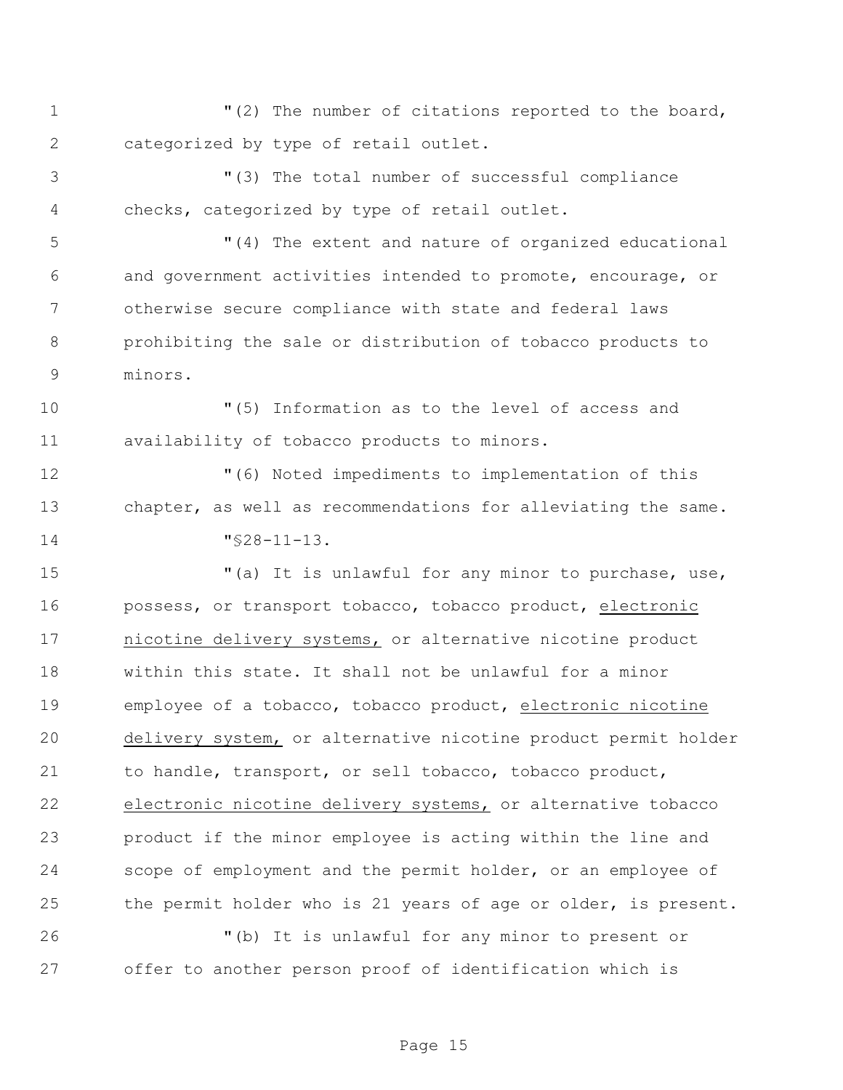1 "(2) The number of citations reported to the board, categorized by type of retail outlet.

 "(3) The total number of successful compliance checks, categorized by type of retail outlet.

 "(4) The extent and nature of organized educational and government activities intended to promote, encourage, or otherwise secure compliance with state and federal laws prohibiting the sale or distribution of tobacco products to minors.

 "(5) Information as to the level of access and availability of tobacco products to minors.

 "(6) Noted impediments to implementation of this chapter, as well as recommendations for alleviating the same. "§28-11-13.

 "(a) It is unlawful for any minor to purchase, use, possess, or transport tobacco, tobacco product, electronic nicotine delivery systems, or alternative nicotine product within this state. It shall not be unlawful for a minor employee of a tobacco, tobacco product, electronic nicotine delivery system, or alternative nicotine product permit holder to handle, transport, or sell tobacco, tobacco product, electronic nicotine delivery systems, or alternative tobacco product if the minor employee is acting within the line and scope of employment and the permit holder, or an employee of the permit holder who is 21 years of age or older, is present.

 "(b) It is unlawful for any minor to present or offer to another person proof of identification which is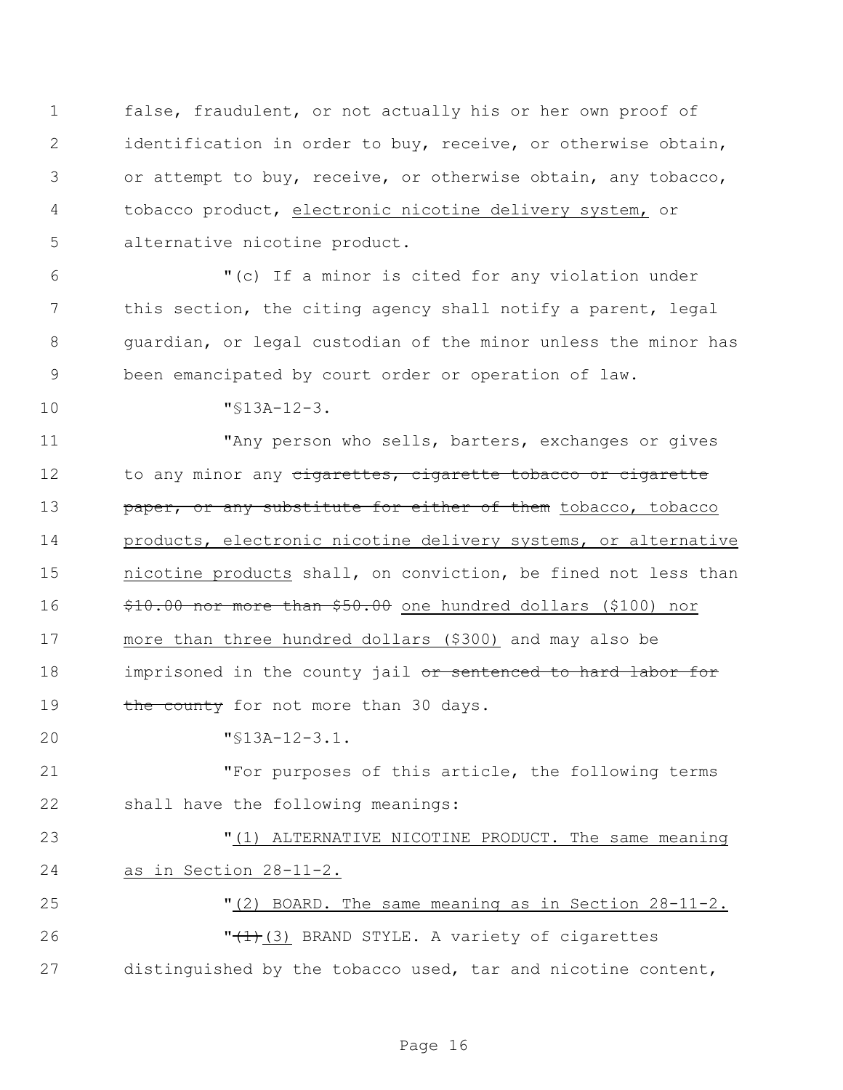false, fraudulent, or not actually his or her own proof of identification in order to buy, receive, or otherwise obtain, or attempt to buy, receive, or otherwise obtain, any tobacco, tobacco product, electronic nicotine delivery system, or alternative nicotine product.

 "(c) If a minor is cited for any violation under this section, the citing agency shall notify a parent, legal guardian, or legal custodian of the minor unless the minor has been emancipated by court order or operation of law.

"§13A-12-3.

11 They person who sells, barters, exchanges or gives 12 to any minor any cigarettes, cigarette tobacco or cigarette **paper, or any substitute for either of them** tobacco, tobacco products, electronic nicotine delivery systems, or alternative nicotine products shall, on conviction, be fined not less than \$10.00 nor more than \$50.00 one hundred dollars (\$100) nor more than three hundred dollars (\$300) and may also be 18 imprisoned in the county jail or sentenced to hard labor for 19 the county for not more than 30 days.

"§13A-12-3.1.

 "For purposes of this article, the following terms shall have the following meanings:

 "(1) ALTERNATIVE NICOTINE PRODUCT. The same meaning as in Section 28-11-2.

 "(2) BOARD. The same meaning as in Section 28-11-2. 26 "<del>(1)</del>(3) BRAND STYLE. A variety of cigarettes distinguished by the tobacco used, tar and nicotine content,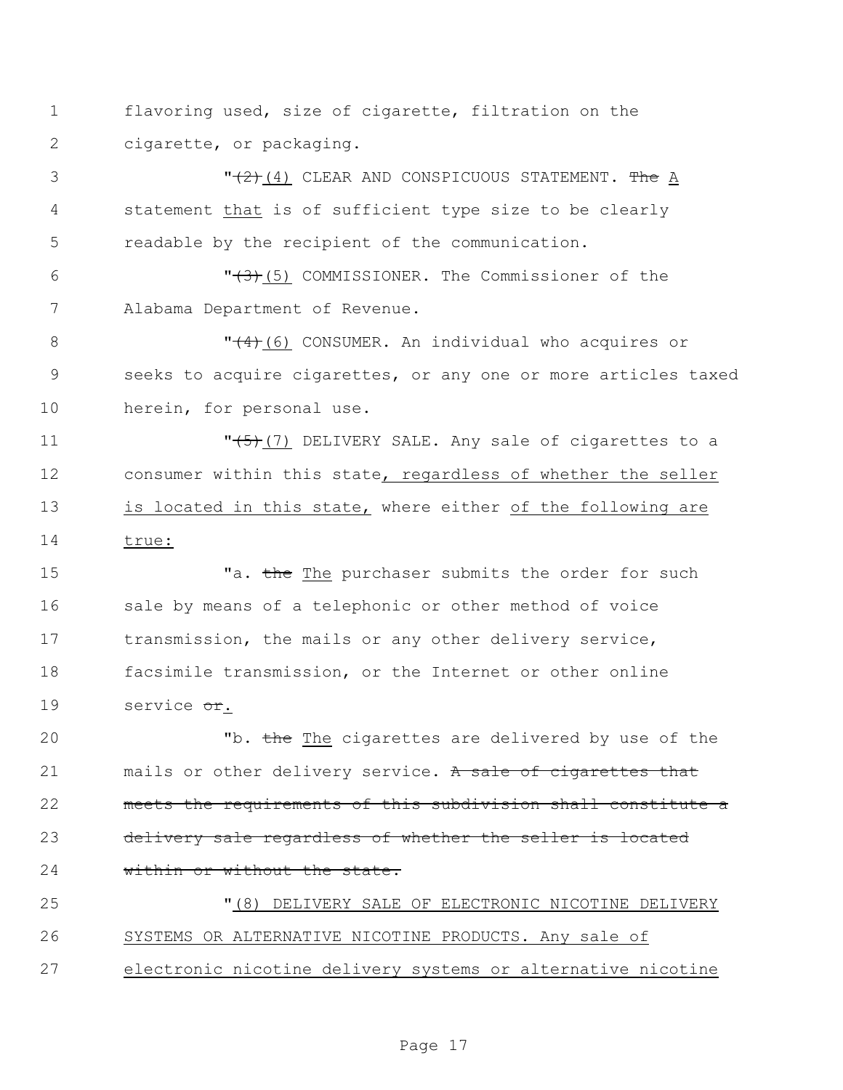1 flavoring used, size of cigarette, filtration on the 2 cigarette, or packaging.

3  $\sqrt{(2)}$ (4) CLEAR AND CONSPICUOUS STATEMENT. The A 4 statement that is of sufficient type size to be clearly 5 readable by the recipient of the communication.

6  $\sqrt{(3)}$ (5) COMMISSIONER. The Commissioner of the 7 Alabama Department of Revenue.

8  $\sqrt{4+(6)}$  CONSUMER. An individual who acquires or 9 seeks to acquire cigarettes, or any one or more articles taxed 10 herein, for personal use.

11  $\sqrt{(5)}$  (7) DELIVERY SALE. Any sale of cigarettes to a 12 consumer within this state, regardless of whether the seller 13 is located in this state, where either of the following are 14 true:

15 Ta. the The purchaser submits the order for such 16 sale by means of a telephonic or other method of voice 17 transmission, the mails or any other delivery service, 18 facsimile transmission, or the Internet or other online 19 service or.

20 The The cigarettes are delivered by use of the 21 mails or other delivery service. A sale of cigarettes that 22 meets the requirements of this subdivision shall constitute a 23 delivery sale regardless of whether the seller is located 24 within or without the state.

25 "(8) DELIVERY SALE OF ELECTRONIC NICOTINE DELIVERY 26 SYSTEMS OR ALTERNATIVE NICOTINE PRODUCTS. Any sale of 27 electronic nicotine delivery systems or alternative nicotine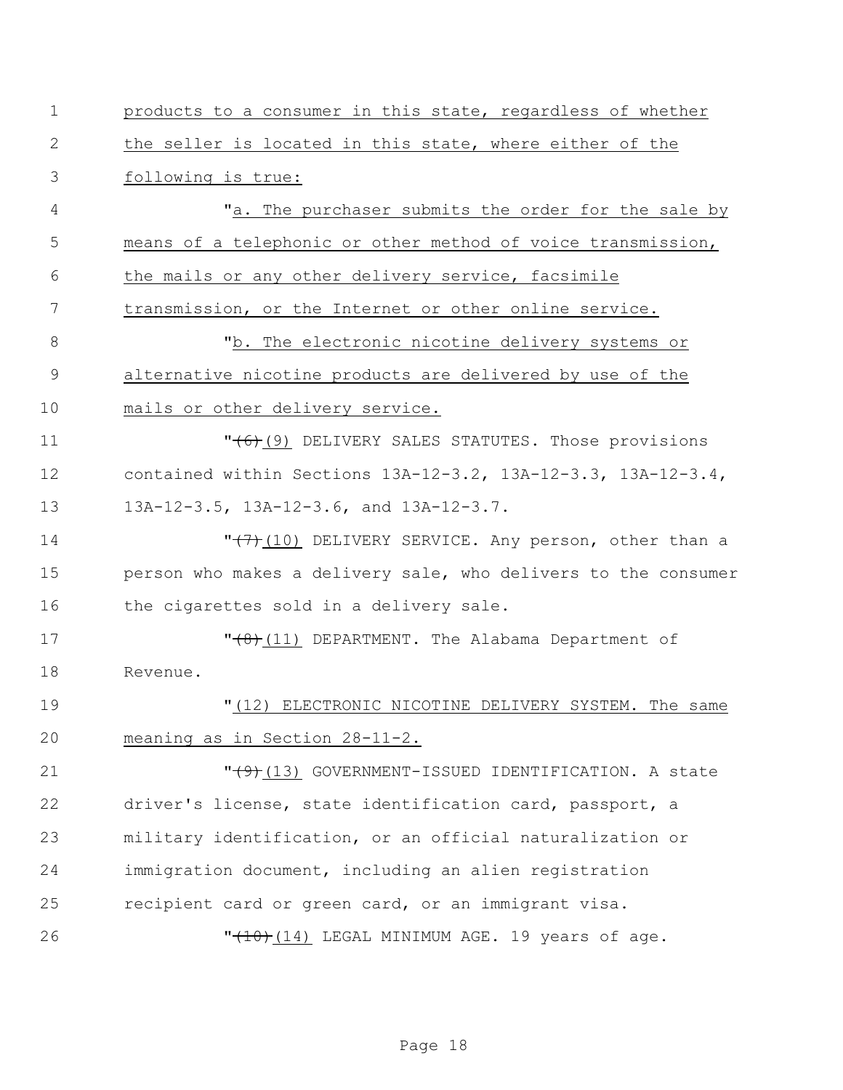| $\mathbf 1$    | products to a consumer in this state, regardless of whether    |
|----------------|----------------------------------------------------------------|
| $\sqrt{2}$     | the seller is located in this state, where either of the       |
| 3              | following is true:                                             |
| 4              | "a. The purchaser submits the order for the sale by            |
| 5              | means of a telephonic or other method of voice transmission,   |
| 6              | the mails or any other delivery service, facsimile             |
| 7              | transmission, or the Internet or other online service.         |
| $8\,$          | "b. The electronic nicotine delivery systems or                |
| $\overline{9}$ | alternative nicotine products are delivered by use of the      |
| 10             | mails or other delivery service.                               |
| 11             | "(6)(9) DELIVERY SALES STATUTES. Those provisions              |
| 12             | contained within Sections 13A-12-3.2, 13A-12-3.3, 13A-12-3.4,  |
| 13             | 13A-12-3.5, 13A-12-3.6, and 13A-12-3.7.                        |
| 14             | " $(7)$ (10) DELIVERY SERVICE. Any person, other than a        |
| 15             | person who makes a delivery sale, who delivers to the consumer |
| 16             | the cigarettes sold in a delivery sale.                        |
| 17             | $"$ (11) DEPARTMENT. The Alabama Department of                 |
| 18             | Revenue.                                                       |
| 19             | " (12)<br>ELECTRONIC NICOTINE DELIVERY SYSTEM. The same        |
| 20             | meaning as in Section 28-11-2.                                 |
| 21             | $"$ (13) GOVERNMENT-ISSUED IDENTIFICATION. A state             |
| 22             | driver's license, state identification card, passport, a       |
| 23             | military identification, or an official naturalization or      |
| 24             | immigration document, including an alien registration          |
| 25             | recipient card or green card, or an immigrant visa.            |
| 26             | "(10) (14) LEGAL MINIMUM AGE. 19 years of age.                 |
|                |                                                                |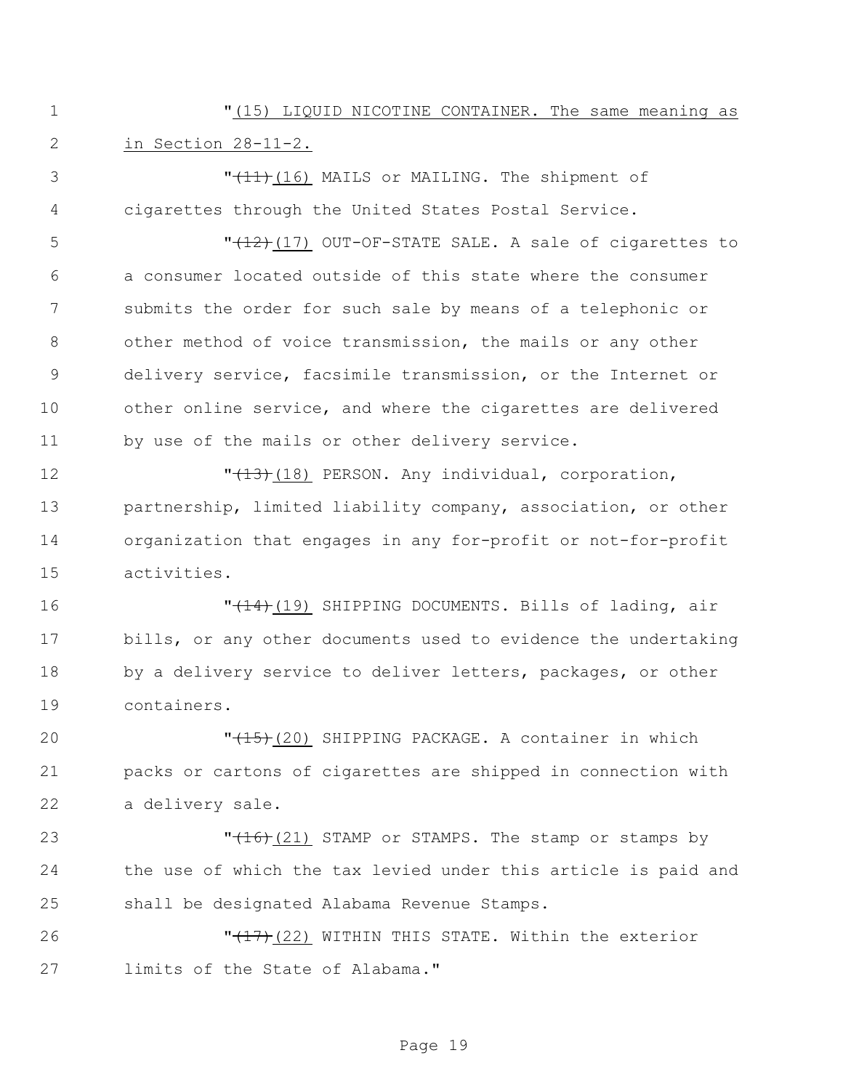"(15) LIQUID NICOTINE CONTAINER. The same meaning as in Section 28-11-2.

3 T<del>(11)</del>(16) MAILS or MAILING. The shipment of cigarettes through the United States Postal Service.

5 "(12)(17) OUT-OF-STATE SALE. A sale of cigarettes to a consumer located outside of this state where the consumer submits the order for such sale by means of a telephonic or other method of voice transmission, the mails or any other delivery service, facsimile transmission, or the Internet or other online service, and where the cigarettes are delivered by use of the mails or other delivery service.

 $\sqrt{13}$  (18) PERSON. Any individual, corporation, partnership, limited liability company, association, or other organization that engages in any for-profit or not-for-profit activities.

**The Communist Communist Communist Communist Communist Communist Communist Communist Communist Communist Communist Communist Communist Communist Communist Communist Communist Communist Communist Communist Communist Comm**  bills, or any other documents used to evidence the undertaking 18 by a delivery service to deliver letters, packages, or other containers.

**"**(15)(20) SHIPPING PACKAGE. A container in which packs or cartons of cigarettes are shipped in connection with a delivery sale.

23  $\sqrt{16}(21)$  STAMP or STAMPS. The stamp or stamps by the use of which the tax levied under this article is paid and shall be designated Alabama Revenue Stamps.

**"Heart (22)** WITHIN THIS STATE. Within the exterior limits of the State of Alabama."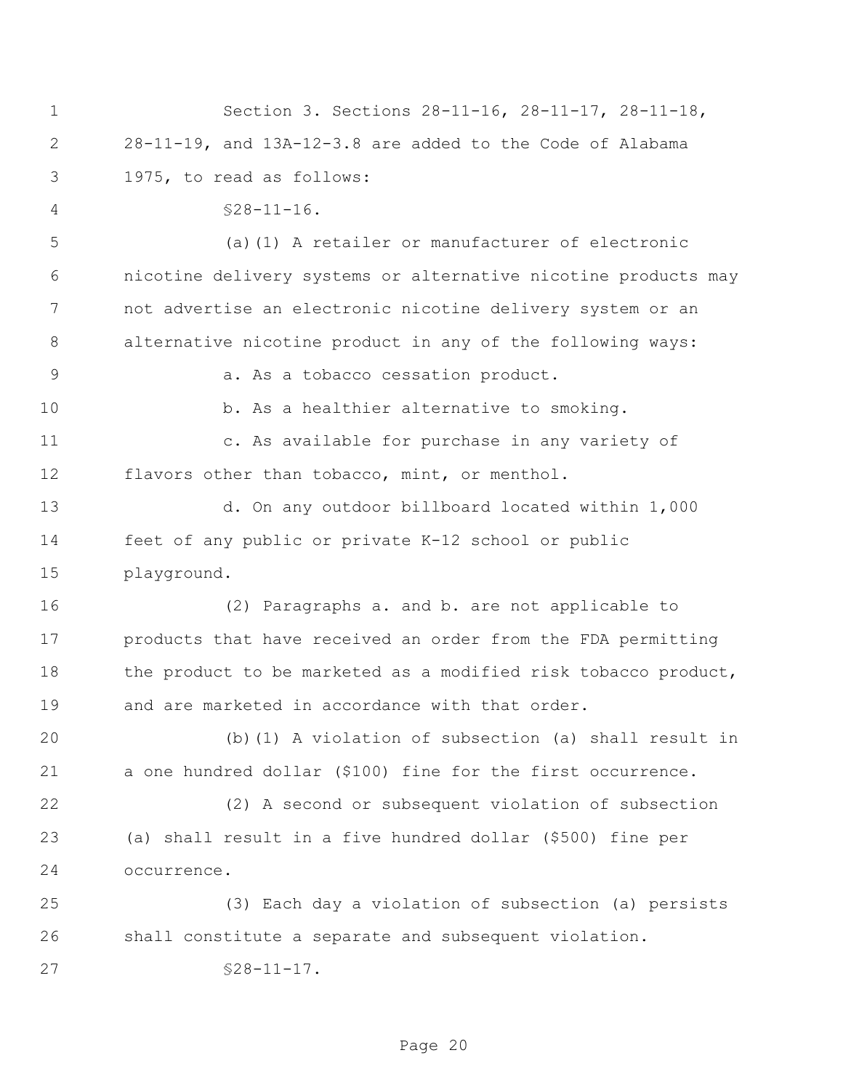Section 3. Sections 28-11-16, 28-11-17, 28-11-18, 28-11-19, and 13A-12-3.8 are added to the Code of Alabama 1975, to read as follows: §28-11-16. (a)(1) A retailer or manufacturer of electronic nicotine delivery systems or alternative nicotine products may not advertise an electronic nicotine delivery system or an alternative nicotine product in any of the following ways: a. As a tobacco cessation product. 10 b. As a healthier alternative to smoking. c. As available for purchase in any variety of flavors other than tobacco, mint, or menthol. d. On any outdoor billboard located within 1,000 feet of any public or private K-12 school or public playground. (2) Paragraphs a. and b. are not applicable to products that have received an order from the FDA permitting 18 the product to be marketed as a modified risk tobacco product, and are marketed in accordance with that order. (b)(1) A violation of subsection (a) shall result in a one hundred dollar (\$100) fine for the first occurrence. (2) A second or subsequent violation of subsection (a) shall result in a five hundred dollar (\$500) fine per occurrence. (3) Each day a violation of subsection (a) persists shall constitute a separate and subsequent violation. 27 §28-11-17.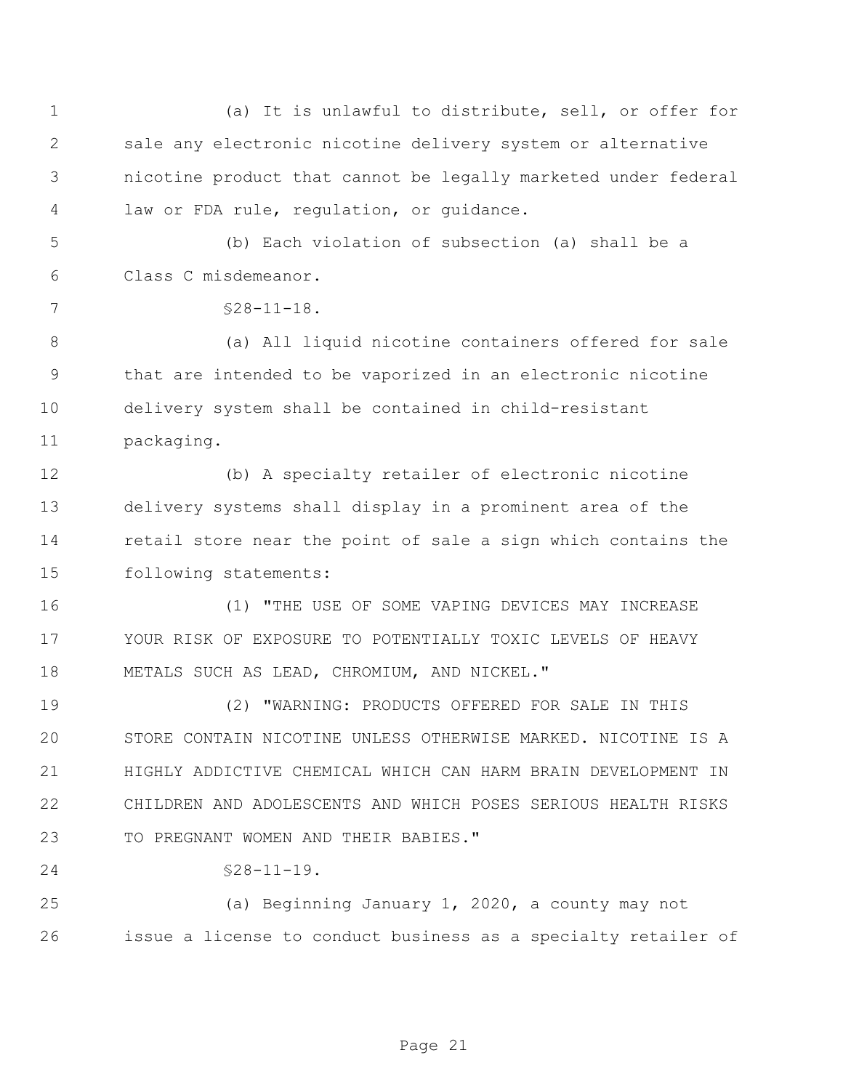| $\mathbf 1$ | (a) It is unlawful to distribute, sell, or offer for           |
|-------------|----------------------------------------------------------------|
| 2           | sale any electronic nicotine delivery system or alternative    |
| 3           | nicotine product that cannot be legally marketed under federal |
| 4           | law or FDA rule, regulation, or guidance.                      |
| 5           | (b) Each violation of subsection (a) shall be a                |
| 6           | Class C misdemeanor.                                           |
| 7           | $$28-11-18.$                                                   |
| $8\,$       | (a) All liquid nicotine containers offered for sale            |
| 9           | that are intended to be vaporized in an electronic nicotine    |
| 10          | delivery system shall be contained in child-resistant          |
| 11          | packaging.                                                     |
| 12          | (b) A specialty retailer of electronic nicotine                |
| 13          | delivery systems shall display in a prominent area of the      |
| 14          | retail store near the point of sale a sign which contains the  |
| 15          | following statements:                                          |
| 16          | (1) "THE USE OF SOME VAPING DEVICES MAY INCREASE               |
| 17          | YOUR RISK OF EXPOSURE TO POTENTIALLY TOXIC LEVELS OF HEAVY     |
| 18          | METALS SUCH AS LEAD, CHROMIUM, AND NICKEL."                    |
| 19          | (2) "WARNING: PRODUCTS OFFERED FOR SALE IN THIS                |
| 20          | STORE CONTAIN NICOTINE UNLESS OTHERWISE MARKED. NICOTINE IS A  |
| 21          | HIGHLY ADDICTIVE CHEMICAL WHICH CAN HARM BRAIN DEVELOPMENT IN  |
| 22          | CHILDREN AND ADOLESCENTS AND WHICH POSES SERIOUS HEALTH RISKS  |
| 23          | TO PREGNANT WOMEN AND THEIR BABIES."                           |
| 24          | $$28-11-19.$                                                   |
| 25          | (a) Beginning January 1, 2020, a county may not                |
| 26          | issue a license to conduct business as a specialty retailer of |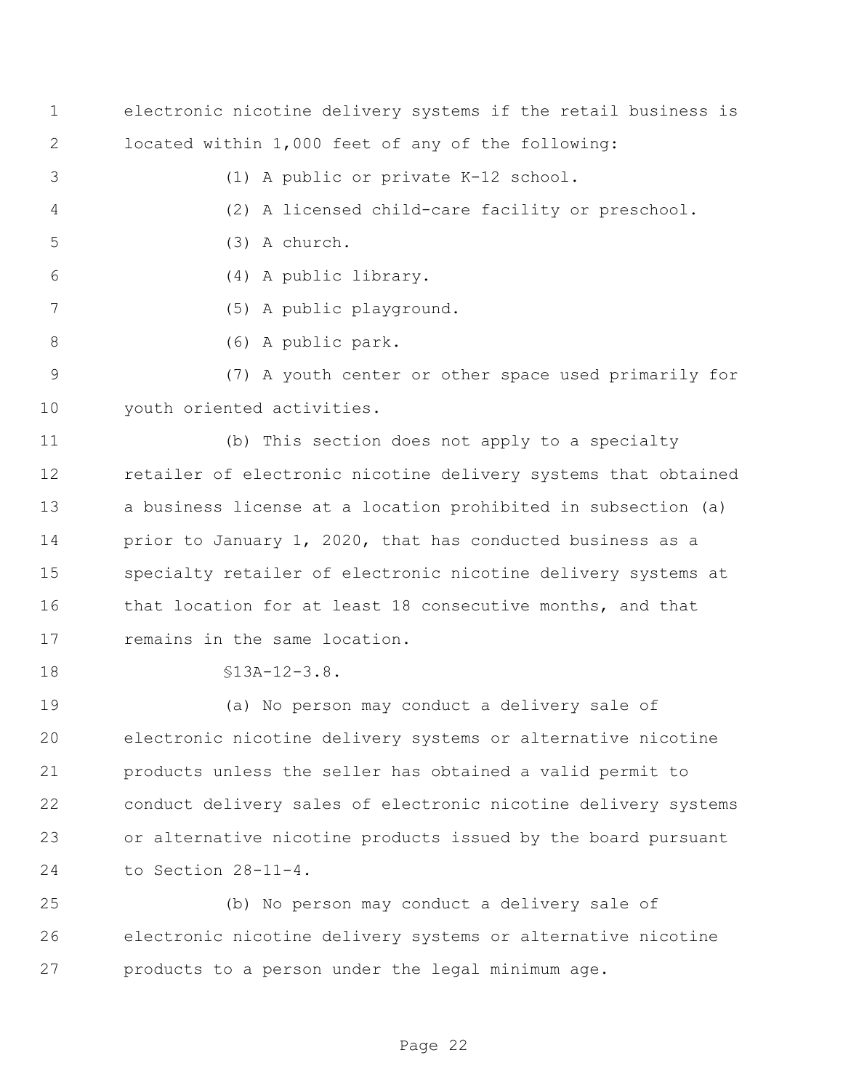- electronic nicotine delivery systems if the retail business is located within 1,000 feet of any of the following:
- (1) A public or private K-12 school.
- (2) A licensed child-care facility or preschool.
- (3) A church.
- (4) A public library.
- (5) A public playground.
- (6) A public park.
- (7) A youth center or other space used primarily for youth oriented activities.

 (b) This section does not apply to a specialty retailer of electronic nicotine delivery systems that obtained a business license at a location prohibited in subsection (a) 14 prior to January 1, 2020, that has conducted business as a specialty retailer of electronic nicotine delivery systems at that location for at least 18 consecutive months, and that 17 remains in the same location.

§13A-12-3.8.

 (a) No person may conduct a delivery sale of electronic nicotine delivery systems or alternative nicotine products unless the seller has obtained a valid permit to conduct delivery sales of electronic nicotine delivery systems or alternative nicotine products issued by the board pursuant to Section 28-11-4.

 (b) No person may conduct a delivery sale of electronic nicotine delivery systems or alternative nicotine products to a person under the legal minimum age.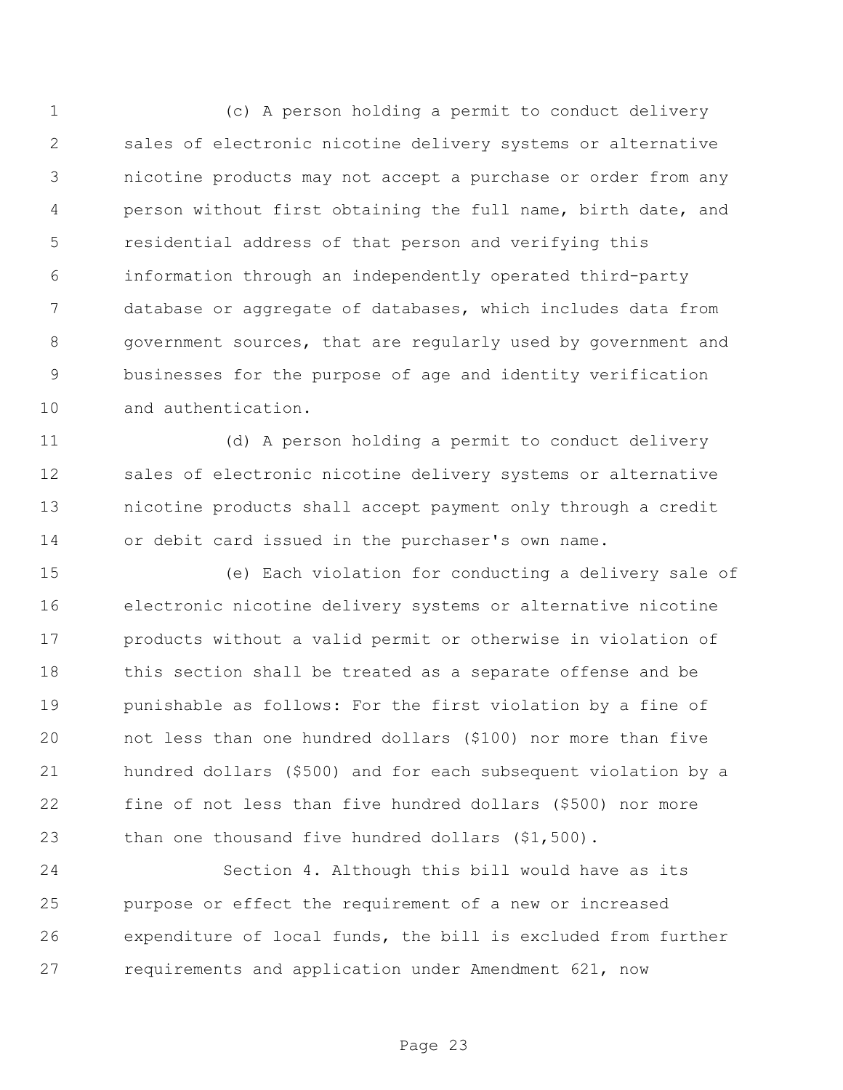(c) A person holding a permit to conduct delivery sales of electronic nicotine delivery systems or alternative nicotine products may not accept a purchase or order from any person without first obtaining the full name, birth date, and residential address of that person and verifying this information through an independently operated third-party database or aggregate of databases, which includes data from government sources, that are regularly used by government and businesses for the purpose of age and identity verification and authentication.

 (d) A person holding a permit to conduct delivery sales of electronic nicotine delivery systems or alternative nicotine products shall accept payment only through a credit or debit card issued in the purchaser's own name.

 (e) Each violation for conducting a delivery sale of electronic nicotine delivery systems or alternative nicotine products without a valid permit or otherwise in violation of 18 this section shall be treated as a separate offense and be punishable as follows: For the first violation by a fine of not less than one hundred dollars (\$100) nor more than five hundred dollars (\$500) and for each subsequent violation by a fine of not less than five hundred dollars (\$500) nor more than one thousand five hundred dollars (\$1,500).

 Section 4. Although this bill would have as its purpose or effect the requirement of a new or increased expenditure of local funds, the bill is excluded from further requirements and application under Amendment 621, now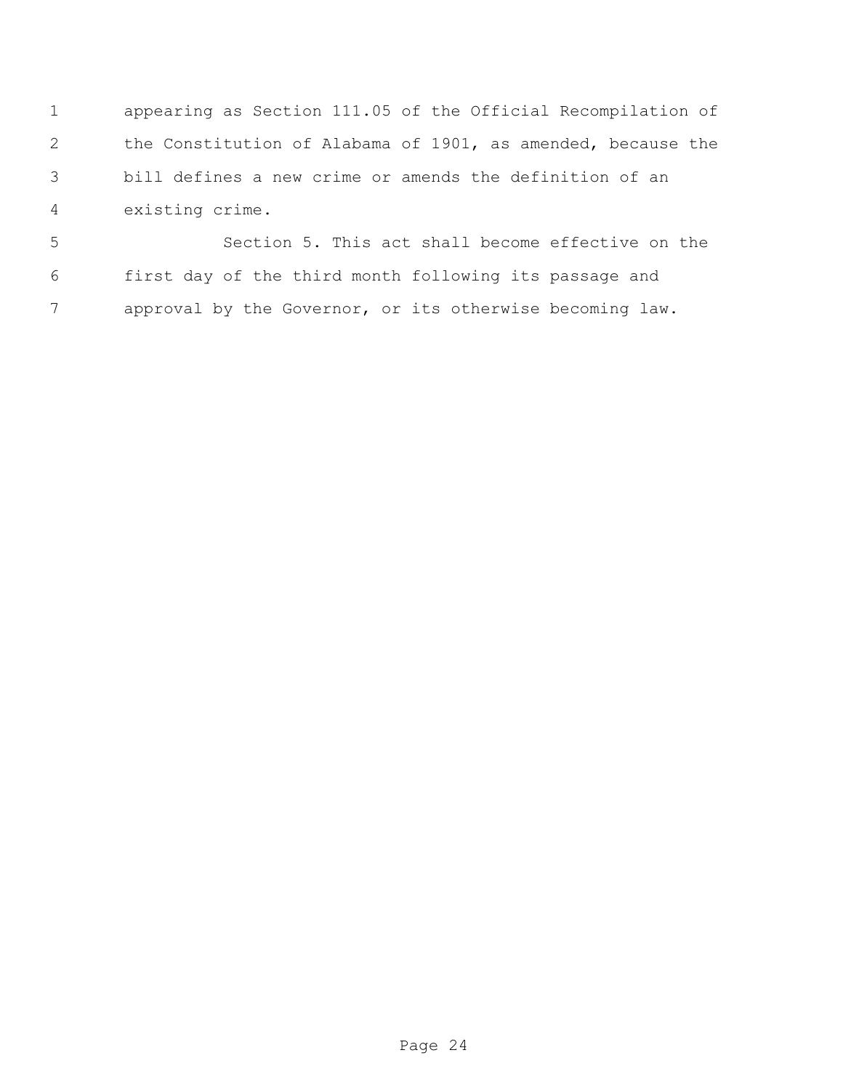appearing as Section 111.05 of the Official Recompilation of the Constitution of Alabama of 1901, as amended, because the bill defines a new crime or amends the definition of an existing crime.

 Section 5. This act shall become effective on the first day of the third month following its passage and approval by the Governor, or its otherwise becoming law.